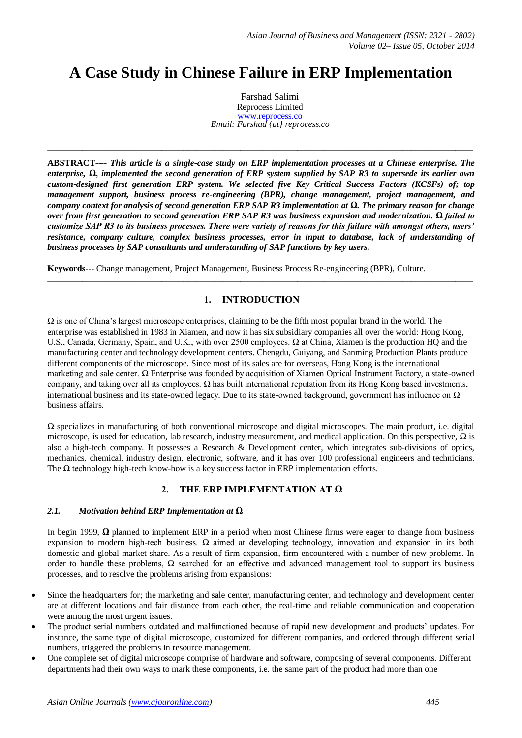# **A Case Study in Chinese Failure in ERP Implementation**

Farshad Salimi Reprocess Limited [www.reprocess.co](http://www.reprocess.co/) *Email: Farshad {at} reprocess.co*

**ABSTRACT**---- *This article is a single-case study on ERP implementation processes at a Chinese enterprise. The enterprise,* **Ω,** *implemented the second generation of ERP system supplied by SAP R3 to supersede its earlier own custom-designed first generation ERP system. We selected five Key Critical Success Factors (KCSFs) of; top management support, business process re-engineering (BPR), change management, project management, and company context for analysis of second generation ERP SAP R3 implementation at* **Ω.** *The primary reason for change over from first generation to second generation ERP SAP R3 was business expansion and modernization. Ω failed to customize SAP R3 to its business processes. There were variety of reasons for this failure with amongst others, users' resistance, company culture, complex business processes, error in input to database, lack of understanding of business processes by SAP consultants and understanding of SAP functions by key users.*

 $\_$  ,  $\_$  ,  $\_$  ,  $\_$  ,  $\_$  ,  $\_$  ,  $\_$  ,  $\_$  ,  $\_$  ,  $\_$  ,  $\_$  ,  $\_$  ,  $\_$  ,  $\_$  ,  $\_$  ,  $\_$  ,  $\_$  ,  $\_$  ,  $\_$  ,  $\_$  ,  $\_$  ,  $\_$  ,  $\_$  ,  $\_$  ,  $\_$  ,  $\_$  ,  $\_$  ,  $\_$  ,  $\_$  ,  $\_$  ,  $\_$  ,  $\_$  ,  $\_$  ,  $\_$  ,  $\_$  ,  $\_$  ,  $\_$  ,

**Keywords---** Change management, Project Management, Business Process Re-engineering (BPR), Culture.

## **1. INTRODUCTION**

 $\_$  ,  $\_$  ,  $\_$  ,  $\_$  ,  $\_$  ,  $\_$  ,  $\_$  ,  $\_$  ,  $\_$  ,  $\_$  ,  $\_$  ,  $\_$  ,  $\_$  ,  $\_$  ,  $\_$  ,  $\_$  ,  $\_$  ,  $\_$  ,  $\_$  ,  $\_$  ,  $\_$  ,  $\_$  ,  $\_$  ,  $\_$  ,  $\_$  ,  $\_$  ,  $\_$  ,  $\_$  ,  $\_$  ,  $\_$  ,  $\_$  ,  $\_$  ,  $\_$  ,  $\_$  ,  $\_$  ,  $\_$  ,  $\_$  ,

 $\Omega$  is one of China's largest microscope enterprises, claiming to be the fifth most popular brand in the world. The enterprise was established in 1983 in Xiamen, and now it has six subsidiary companies all over the world: Hong Kong, U.S., Canada, Germany, Spain, and U.K., with over 2500 employees. Ω at China, Xiamen is the production HQ and the manufacturing center and technology development centers. Chengdu, Guiyang, and Sanming Production Plants produce different components of the microscope. Since most of its sales are for overseas, Hong Kong is the international marketing and sale center. Ω Enterprise was founded by acquisition of Xiamen Optical Instrument Factory, a state-owned company, and taking over all its employees. Ω has built international reputation from its Hong Kong based investments, international business and its state-owned legacy. Due to its state-owned background, government has influence on  $\Omega$ business affairs.

Ω specializes in manufacturing of both conventional microscope and digital microscopes. The main product, i.e. digital microscope, is used for education, lab research, industry measurement, and medical application. On this perspective,  $\Omega$  is also a high-tech company. It possesses a Research & Development center, which integrates sub-divisions of optics, mechanics, chemical, industry design, electronic, software, and it has over 100 professional engineers and technicians. The  $\Omega$  technology high-tech know-how is a key success factor in ERP implementation efforts.

## **2. THE ERP IMPLEMENTATION AT Ω**

#### *2.1. Motivation behind ERP Implementation at Ω*

In begin 1999, **Ω** planned to implement ERP in a period when most Chinese firms were eager to change from business expansion to modern high-tech business.  $\Omega$  aimed at developing technology, innovation and expansion in its both domestic and global market share. As a result of firm expansion, firm encountered with a number of new problems. In order to handle these problems,  $\Omega$  searched for an effective and advanced management tool to support its business processes, and to resolve the problems arising from expansions:

- Since the headquarters for; the marketing and sale center, manufacturing center, and technology and development center are at different locations and fair distance from each other, the real-time and reliable communication and cooperation were among the most urgent issues.
- The product serial numbers outdated and malfunctioned because of rapid new development and products' updates. For instance, the same type of digital microscope, customized for different companies, and ordered through different serial numbers, triggered the problems in resource management.
- One complete set of digital microscope comprise of hardware and software, composing of several components. Different departments had their own ways to mark these components, i.e. the same part of the product had more than one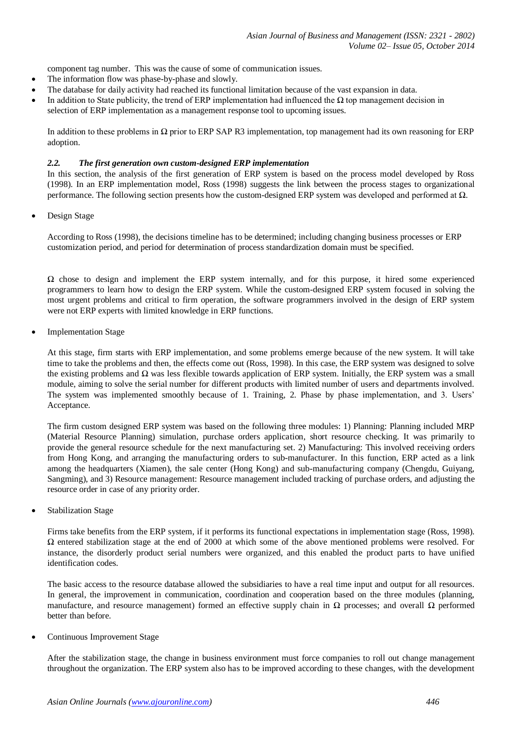component tag number. This was the cause of some of communication issues.

- The information flow was phase-by-phase and slowly.
- The database for daily activity had reached its functional limitation because of the vast expansion in data.
- In addition to State publicity, the trend of ERP implementation had influenced the  $\Omega$  top management decision in selection of ERP implementation as a management response tool to upcoming issues.

In addition to these problems in Ω prior to ERP SAP R3 implementation, top management had its own reasoning for ERP adoption.

#### *2.2. The first generation own custom-designed ERP implementation*

In this section, the analysis of the first generation of ERP system is based on the process model developed by Ross (1998). In an ERP implementation model, Ross (1998) suggests the link between the process stages to organizational performance. The following section presents how the custom-designed ERP system was developed and performed at Ω.

Design Stage

According to Ross (1998), the decisions timeline has to be determined; including changing business processes or ERP customization period, and period for determination of process standardization domain must be specified.

 $\Omega$  chose to design and implement the ERP system internally, and for this purpose, it hired some experienced programmers to learn how to design the ERP system. While the custom-designed ERP system focused in solving the most urgent problems and critical to firm operation, the software programmers involved in the design of ERP system were not ERP experts with limited knowledge in ERP functions.

Implementation Stage

At this stage, firm starts with ERP implementation, and some problems emerge because of the new system. It will take time to take the problems and then, the effects come out (Ross, 1998). In this case, the ERP system was designed to solve the existing problems and  $\Omega$  was less flexible towards application of ERP system. Initially, the ERP system was a small module, aiming to solve the serial number for different products with limited number of users and departments involved. The system was implemented smoothly because of 1. Training, 2. Phase by phase implementation, and 3. Users' Acceptance.

The firm custom designed ERP system was based on the following three modules: 1) Planning: Planning included MRP (Material Resource Planning) simulation, purchase orders application, short resource checking. It was primarily to provide the general resource schedule for the next manufacturing set. 2) Manufacturing: This involved receiving orders from Hong Kong, and arranging the manufacturing orders to sub-manufacturer. In this function, ERP acted as a link among the headquarters (Xiamen), the sale center (Hong Kong) and sub-manufacturing company (Chengdu, Guiyang, Sangming), and 3) Resource management: Resource management included tracking of purchase orders, and adjusting the resource order in case of any priority order.

Stabilization Stage

Firms take benefits from the ERP system, if it performs its functional expectations in implementation stage (Ross, 1998). Ω entered stabilization stage at the end of 2000 at which some of the above mentioned problems were resolved. For instance, the disorderly product serial numbers were organized, and this enabled the product parts to have unified identification codes.

The basic access to the resource database allowed the subsidiaries to have a real time input and output for all resources. In general, the improvement in communication, coordination and cooperation based on the three modules (planning, manufacture, and resource management) formed an effective supply chain in  $\Omega$  processes; and overall  $\Omega$  performed better than before.

Continuous Improvement Stage

After the stabilization stage, the change in business environment must force companies to roll out change management throughout the organization. The ERP system also has to be improved according to these changes, with the development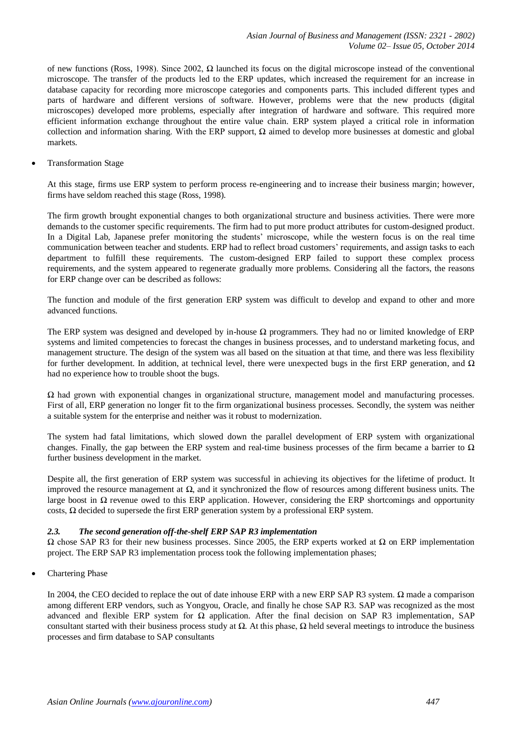of new functions (Ross, 1998). Since 2002, Ω launched its focus on the digital microscope instead of the conventional microscope. The transfer of the products led to the ERP updates, which increased the requirement for an increase in database capacity for recording more microscope categories and components parts. This included different types and parts of hardware and different versions of software. However, problems were that the new products (digital microscopes) developed more problems, especially after integration of hardware and software. This required more efficient information exchange throughout the entire value chain. ERP system played a critical role in information collection and information sharing. With the ERP support,  $\Omega$  aimed to develop more businesses at domestic and global markets.

Transformation Stage

At this stage, firms use ERP system to perform process re-engineering and to increase their business margin; however, firms have seldom reached this stage (Ross, 1998).

The firm growth brought exponential changes to both organizational structure and business activities. There were more demands to the customer specific requirements. The firm had to put more product attributes for custom-designed product. In a Digital Lab, Japanese prefer monitoring the students' microscope, while the western focus is on the real time communication between teacher and students. ERP had to reflect broad customers' requirements, and assign tasks to each department to fulfill these requirements. The custom-designed ERP failed to support these complex process requirements, and the system appeared to regenerate gradually more problems. Considering all the factors, the reasons for ERP change over can be described as follows:

The function and module of the first generation ERP system was difficult to develop and expand to other and more advanced functions.

The ERP system was designed and developed by in-house  $\Omega$  programmers. They had no or limited knowledge of ERP systems and limited competencies to forecast the changes in business processes, and to understand marketing focus, and management structure. The design of the system was all based on the situation at that time, and there was less flexibility for further development. In addition, at technical level, there were unexpected bugs in the first ERP generation, and  $\Omega$ had no experience how to trouble shoot the bugs.

Ω had grown with exponential changes in organizational structure, management model and manufacturing processes. First of all, ERP generation no longer fit to the firm organizational business processes. Secondly, the system was neither a suitable system for the enterprise and neither was it robust to modernization.

The system had fatal limitations, which slowed down the parallel development of ERP system with organizational changes. Finally, the gap between the ERP system and real-time business processes of the firm became a barrier to  $\Omega$ further business development in the market.

Despite all, the first generation of ERP system was successful in achieving its objectives for the lifetime of product. It improved the resource management at Ω, and it synchronized the flow of resources among different business units. The large boost in Ω revenue owed to this ERP application. However, considering the ERP shortcomings and opportunity costs,  $\Omega$  decided to supersede the first ERP generation system by a professional ERP system.

## *2.3. The second generation off-the-shelf ERP SAP R3 implementation*

 $Ω$  chose SAP R3 for their new business processes. Since 2005, the ERP experts worked at  $Ω$  on ERP implementation project. The ERP SAP R3 implementation process took the following implementation phases;

Chartering Phase

In 2004, the CEO decided to replace the out of date inhouse ERP with a new ERP SAP R3 system. Ω made a comparison among different ERP vendors, such as Yongyou, Oracle, and finally he chose SAP R3. SAP was recognized as the most advanced and flexible ERP system for  $\Omega$  application. After the final decision on SAP R3 implementation, SAP consultant started with their business process study at  $Ω$ . At this phase,  $Ω$  held several meetings to introduce the business processes and firm database to SAP consultants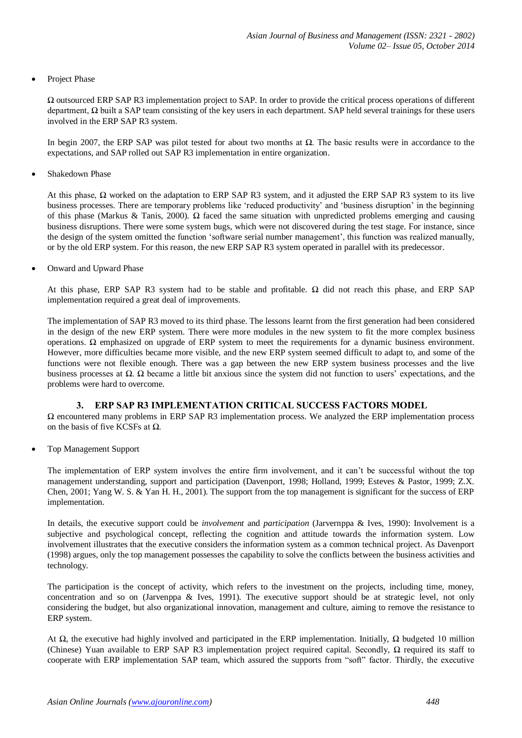Project Phase

Ω outsourced ERP SAP R3 implementation project to SAP. In order to provide the critical process operations of different department,  $\Omega$  built a SAP team consisting of the key users in each department. SAP held several trainings for these users involved in the ERP SAP R3 system.

In begin 2007, the ERP SAP was pilot tested for about two months at Ω. The basic results were in accordance to the expectations, and SAP rolled out SAP R3 implementation in entire organization.

Shakedown Phase

At this phase,  $\Omega$  worked on the adaptation to ERP SAP R3 system, and it adjusted the ERP SAP R3 system to its live business processes. There are temporary problems like 'reduced productivity' and 'business disruption' in the beginning of this phase (Markus & Tanis, 2000). Ω faced the same situation with unpredicted problems emerging and causing business disruptions. There were some system bugs, which were not discovered during the test stage. For instance, since the design of the system omitted the function 'software serial number management', this function was realized manually, or by the old ERP system. For this reason, the new ERP SAP R3 system operated in parallel with its predecessor.

Onward and Upward Phase

At this phase, ERP SAP R3 system had to be stable and profitable.  $\Omega$  did not reach this phase, and ERP SAP implementation required a great deal of improvements.

The implementation of SAP R3 moved to its third phase. The lessons learnt from the first generation had been considered in the design of the new ERP system. There were more modules in the new system to fit the more complex business operations. Ω emphasized on upgrade of ERP system to meet the requirements for a dynamic business environment. However, more difficulties became more visible, and the new ERP system seemed difficult to adapt to, and some of the functions were not flexible enough. There was a gap between the new ERP system business processes and the live business processes at  $\Omega$ . Ω became a little bit anxious since the system did not function to users' expectations, and the problems were hard to overcome.

## **3. ERP SAP R3 IMPLEMENTATION CRITICAL SUCCESS FACTORS MODEL**

Ω encountered many problems in ERP SAP R3 implementation process. We analyzed the ERP implementation process on the basis of five KCSFs at  $\Omega$ .

Top Management Support

The implementation of ERP system involves the entire firm involvement, and it can't be successful without the top management understanding, support and participation (Davenport, 1998; Holland, 1999; Esteves & Pastor, 1999; Z.X. Chen, 2001; Yang W. S. & Yan H. H., 2001). The support from the top management is significant for the success of ERP implementation.

In details, the executive support could be *involvement* and *participation* (Jarvernppa & Ives, 1990): Involvement is a subjective and psychological concept, reflecting the cognition and attitude towards the information system. Low involvement illustrates that the executive considers the information system as a common technical project. As Davenport (1998) argues, only the top management possesses the capability to solve the conflicts between the business activities and technology.

The participation is the concept of activity, which refers to the investment on the projects, including time, money, concentration and so on (Jarvenppa & Ives, 1991). The executive support should be at strategic level, not only considering the budget, but also organizational innovation, management and culture, aiming to remove the resistance to ERP system.

At  $\Omega$ , the executive had highly involved and participated in the ERP implementation. Initially,  $\Omega$  budgeted 10 million (Chinese) Yuan available to ERP SAP R3 implementation project required capital. Secondly,  $\Omega$  required its staff to cooperate with ERP implementation SAP team, which assured the supports from "soft" factor. Thirdly, the executive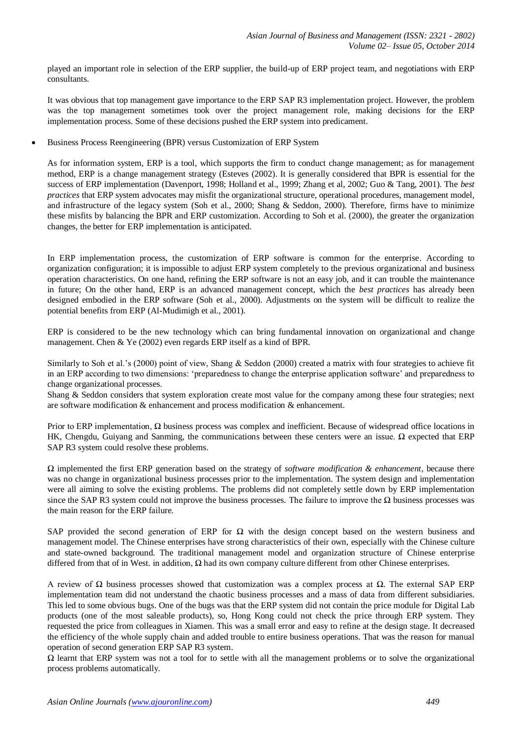played an important role in selection of the ERP supplier, the build-up of ERP project team, and negotiations with ERP consultants.

It was obvious that top management gave importance to the ERP SAP R3 implementation project. However, the problem was the top management sometimes took over the project management role, making decisions for the ERP implementation process. Some of these decisions pushed the ERP system into predicament.

Business Process Reengineering (BPR) versus Customization of ERP System

As for information system, ERP is a tool, which supports the firm to conduct change management; as for management method, ERP is a change management strategy (Esteves (2002). It is generally considered that BPR is essential for the success of ERP implementation (Davenport, 1998; Holland et al., 1999; Zhang et al, 2002; Guo & Tang, 2001). The *best practices* that ERP system advocates may misfit the organizational structure, operational procedures, management model, and infrastructure of the legacy system (Soh et al., 2000; Shang & Seddon, 2000). Therefore, firms have to minimize these misfits by balancing the BPR and ERP customization. According to Soh et al. (2000), the greater the organization changes, the better for ERP implementation is anticipated.

In ERP implementation process, the customization of ERP software is common for the enterprise. According to organization configuration; it is impossible to adjust ERP system completely to the previous organizational and business operation characteristics. On one hand, refining the ERP software is not an easy job, and it can trouble the maintenance in future; On the other hand, ERP is an advanced management concept, which the *best practices* has already been designed embodied in the ERP software (Soh et al., 2000). Adjustments on the system will be difficult to realize the potential benefits from ERP (Al-Mudimigh et al., 2001).

ERP is considered to be the new technology which can bring fundamental innovation on organizational and change management. Chen & Ye (2002) even regards ERP itself as a kind of BPR.

Similarly to Soh et al.'s (2000) point of view, Shang & Seddon (2000) created a matrix with four strategies to achieve fit in an ERP according to two dimensions: 'preparedness to change the enterprise application software' and preparedness to change organizational processes.

Shang & Seddon considers that system exploration create most value for the company among these four strategies; next are software modification & enhancement and process modification & enhancement.

Prior to ERP implementation, Ω business process was complex and inefficient. Because of widespread office locations in HK, Chengdu, Guiyang and Sanming, the communications between these centers were an issue. Ω expected that ERP SAP R3 system could resolve these problems.

Ω implemented the first ERP generation based on the strategy of *software modification & enhancement*, because there was no change in organizational business processes prior to the implementation. The system design and implementation were all aiming to solve the existing problems. The problems did not completely settle down by ERP implementation since the SAP R3 system could not improve the business processes. The failure to improve the  $\Omega$  business processes was the main reason for the ERP failure.

SAP provided the second generation of ERP for  $\Omega$  with the design concept based on the western business and management model. The Chinese enterprises have strong characteristics of their own, especially with the Chinese culture and state-owned background. The traditional management model and organization structure of Chinese enterprise differed from that of in West. in addition, Ω had its own company culture different from other Chinese enterprises.

A review of  $\Omega$  business processes showed that customization was a complex process at  $\Omega$ . The external SAP ERP implementation team did not understand the chaotic business processes and a mass of data from different subsidiaries. This led to some obvious bugs. One of the bugs was that the ERP system did not contain the price module for Digital Lab products (one of the most saleable products), so, Hong Kong could not check the price through ERP system. They requested the price from colleagues in Xiamen. This was a small error and easy to refine at the design stage. It decreased the efficiency of the whole supply chain and added trouble to entire business operations. That was the reason for manual operation of second generation ERP SAP R3 system.

 $\Omega$  learnt that ERP system was not a tool for to settle with all the management problems or to solve the organizational process problems automatically.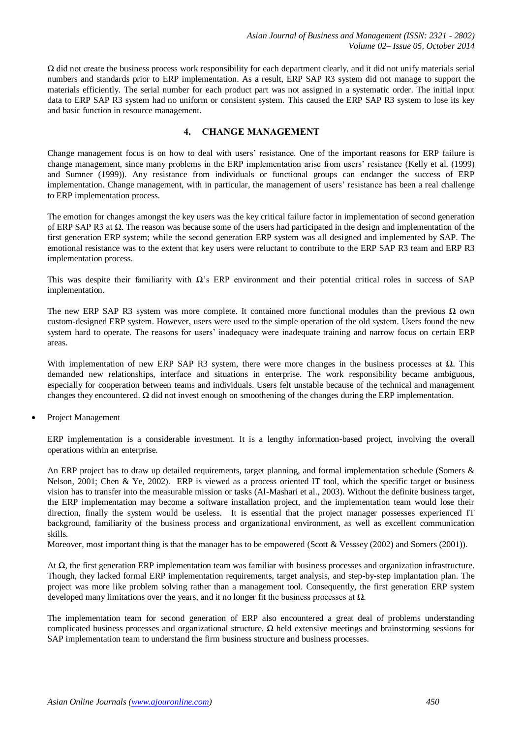$\Omega$  did not create the business process work responsibility for each department clearly, and it did not unify materials serial numbers and standards prior to ERP implementation. As a result, ERP SAP R3 system did not manage to support the materials efficiently. The serial number for each product part was not assigned in a systematic order. The initial input data to ERP SAP R3 system had no uniform or consistent system. This caused the ERP SAP R3 system to lose its key and basic function in resource management.

# **4. CHANGE MANAGEMENT**

Change management focus is on how to deal with users' resistance. One of the important reasons for ERP failure is change management, since many problems in the ERP implementation arise from users' resistance (Kelly et al. (1999) and Sumner (1999)). Any resistance from individuals or functional groups can endanger the success of ERP implementation. Change management, with in particular, the management of users' resistance has been a real challenge to ERP implementation process.

The emotion for changes amongst the key users was the key critical failure factor in implementation of second generation of ERP SAP R3 at Ω. The reason was because some of the users had participated in the design and implementation of the first generation ERP system; while the second generation ERP system was all designed and implemented by SAP. The emotional resistance was to the extent that key users were reluctant to contribute to the ERP SAP R3 team and ERP R3 implementation process.

This was despite their familiarity with  $\Omega$ 's ERP environment and their potential critical roles in success of SAP implementation.

The new ERP SAP R3 system was more complete. It contained more functional modules than the previous  $\Omega$  own custom-designed ERP system. However, users were used to the simple operation of the old system. Users found the new system hard to operate. The reasons for users' inadequacy were inadequate training and narrow focus on certain ERP areas.

With implementation of new ERP SAP R3 system, there were more changes in the business processes at Ω. This demanded new relationships, interface and situations in enterprise. The work responsibility became ambiguous, especially for cooperation between teams and individuals. Users felt unstable because of the technical and management changes they encountered.  $\Omega$  did not invest enough on smoothening of the changes during the ERP implementation.

Project Management

ERP implementation is a considerable investment. It is a lengthy information-based project, involving the overall operations within an enterprise.

An ERP project has to draw up detailed requirements, target planning, and formal implementation schedule (Somers & Nelson, 2001; Chen & Ye, 2002). ERP is viewed as a process oriented IT tool, which the specific target or business vision has to transfer into the measurable mission or tasks (Al-Mashari et al., 2003). Without the definite business target, the ERP implementation may become a software installation project, and the implementation team would lose their direction, finally the system would be useless. It is essential that the project manager possesses experienced IT background, familiarity of the business process and organizational environment, as well as excellent communication skills.

Moreover, most important thing is that the manager has to be empowered (Scott & Vesssey (2002) and Somers (2001)).

At  $\Omega$ , the first generation ERP implementation team was familiar with business processes and organization infrastructure. Though, they lacked formal ERP implementation requirements, target analysis, and step-by-step implantation plan. The project was more like problem solving rather than a management tool. Consequently, the first generation ERP system developed many limitations over the years, and it no longer fit the business processes at  $\Omega$ .

The implementation team for second generation of ERP also encountered a great deal of problems understanding complicated business processes and organizational structure. Ω held extensive meetings and brainstorming sessions for SAP implementation team to understand the firm business structure and business processes.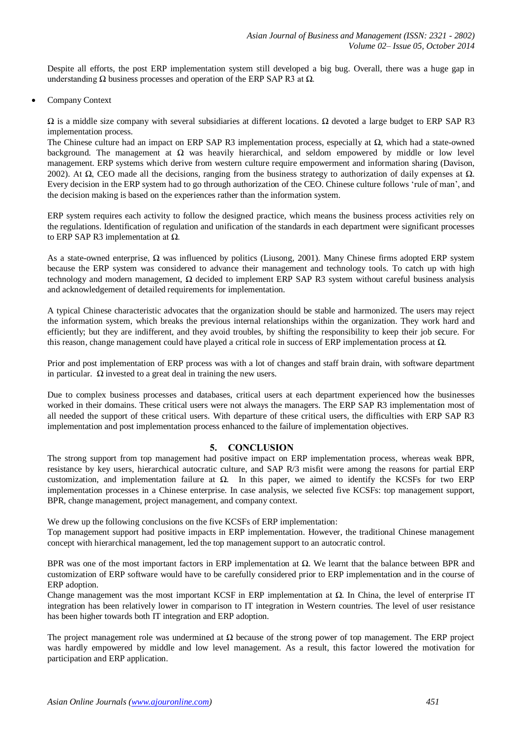Despite all efforts, the post ERP implementation system still developed a big bug. Overall, there was a huge gap in understanding  $Ω$  business processes and operation of the ERP SAP R3 at  $Ω$ .

Company Context

 $Ω$  is a middle size company with several subsidiaries at different locations.  $Ω$  devoted a large budget to ERP SAP R3 implementation process.

The Chinese culture had an impact on ERP SAP R3 implementation process, especially at  $\Omega$ , which had a state-owned background. The management at  $\Omega$  was heavily hierarchical, and seldom empowered by middle or low level management. ERP systems which derive from western culture require empowerment and information sharing (Davison, 2002). At  $\Omega$ , CEO made all the decisions, ranging from the business strategy to authorization of daily expenses at  $\Omega$ . Every decision in the ERP system had to go through authorization of the CEO. Chinese culture follows 'rule of man', and the decision making is based on the experiences rather than the information system.

ERP system requires each activity to follow the designed practice, which means the business process activities rely on the regulations. Identification of regulation and unification of the standards in each department were significant processes to ERP SAP R3 implementation at  $Ω$ .

As a state-owned enterprise,  $\Omega$  was influenced by politics (Liusong, 2001). Many Chinese firms adopted ERP system because the ERP system was considered to advance their management and technology tools. To catch up with high technology and modern management,  $\Omega$  decided to implement ERP SAP R3 system without careful business analysis and acknowledgement of detailed requirements for implementation.

A typical Chinese characteristic advocates that the organization should be stable and harmonized. The users may reject the information system, which breaks the previous internal relationships within the organization. They work hard and efficiently; but they are indifferent, and they avoid troubles, by shifting the responsibility to keep their job secure. For this reason, change management could have played a critical role in success of ERP implementation process at  $Ω$ .

Prior and post implementation of ERP process was with a lot of changes and staff brain drain, with software department in particular.  $\Omega$  invested to a great deal in training the new users.

Due to complex business processes and databases, critical users at each department experienced how the businesses worked in their domains. These critical users were not always the managers. The ERP SAP R3 implementation most of all needed the support of these critical users. With departure of these critical users, the difficulties with ERP SAP R3 implementation and post implementation process enhanced to the failure of implementation objectives.

#### **5. CONCLUSION**

The strong support from top management had positive impact on ERP implementation process, whereas weak BPR, resistance by key users, hierarchical autocratic culture, and SAP R/3 misfit were among the reasons for partial ERP customization, and implementation failure at  $\Omega$ . In this paper, we aimed to identify the KCSFs for two ERP implementation processes in a Chinese enterprise. In case analysis, we selected five KCSFs: top management support, BPR, change management, project management, and company context.

We drew up the following conclusions on the five KCSFs of ERP implementation:

Top management support had positive impacts in ERP implementation. However, the traditional Chinese management concept with hierarchical management, led the top management support to an autocratic control.

BPR was one of the most important factors in ERP implementation at  $\Omega$ . We learnt that the balance between BPR and customization of ERP software would have to be carefully considered prior to ERP implementation and in the course of ERP adoption.

Change management was the most important KCSF in ERP implementation at Ω. In China, the level of enterprise IT integration has been relatively lower in comparison to IT integration in Western countries. The level of user resistance has been higher towards both IT integration and ERP adoption.

The project management role was undermined at  $\Omega$  because of the strong power of top management. The ERP project was hardly empowered by middle and low level management. As a result, this factor lowered the motivation for participation and ERP application.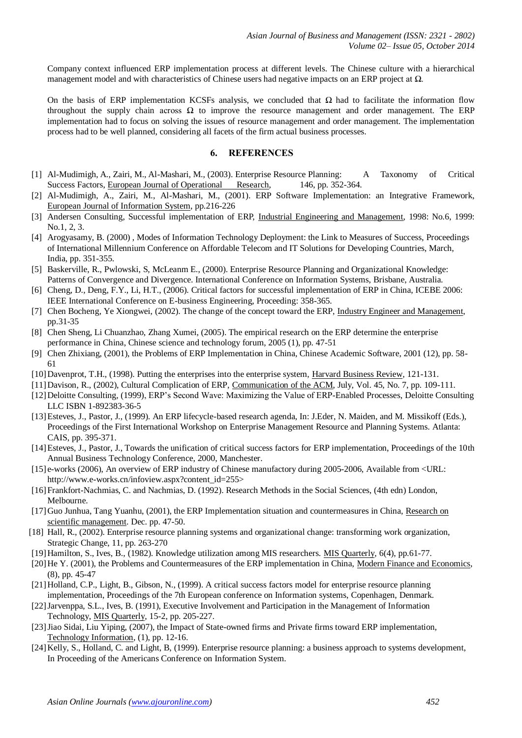Company context influenced ERP implementation process at different levels. The Chinese culture with a hierarchical management model and with characteristics of Chinese users had negative impacts on an ERP project at  $\Omega$ .

On the basis of ERP implementation KCSFs analysis, we concluded that  $\Omega$  had to facilitate the information flow throughout the supply chain across  $\Omega$  to improve the resource management and order management. The ERP implementation had to focus on solving the issues of resource management and order management. The implementation process had to be well planned, considering all facets of the firm actual business processes.

#### **6. REFERENCES**

- [1] Al-Mudimigh, A., Zairi, M., Al-Mashari, M., (2003). Enterprise Resource Planning: A Taxonomy of Critical Success Factors, European Journal of Operational Research, 146, pp. 352-364.
- [2] Al-Mudimigh, A., Zairi, M., Al-Mashari, M., (2001). ERP Software Implementation: an Integrative Framework, European Journal of Information System, pp.216-226
- [3] Andersen Consulting, Successful implementation of ERP, Industrial Engineering and Management, 1998: No.6, 1999: No.1, 2, 3.
- [4] Arogyasamy, B. (2000) , Modes of Information Technology Deployment: the Link to Measures of Success, Proceedings of International Millennium Conference on Affordable Telecom and IT Solutions for Developing Countries, March, India, pp. 351-355.
- [5] Baskerville, R., Pwlowski, S, McLeanm E., (2000). Enterprise Resource Planning and Organizational Knowledge: Patterns of Convergence and Divergence. International Conference on Information Systems, Brisbane, Australia.
- [6] Cheng, D., Deng, F.Y., Li, H.T., (2006). Critical factors for successful implementation of ERP in China, ICEBE 2006: IEEE International Conference on E-business Engineering, Proceeding: 358-365.
- [7] Chen Bocheng, Ye Xiongwei, (2002). The change of the concept toward the ERP, Industry Engineer and Management, pp.31-35
- [8] Chen Sheng, Li Chuanzhao, Zhang Xumei, (2005). The empirical research on the ERP determine the enterprise performance in China, Chinese science and technology forum, 2005 (1), pp. 47-51
- [9] Chen Zhixiang, (2001), the Problems of ERP Implementation in China, Chinese Academic Software, 2001 (12), pp. 58- 61
- [10]Davenprot, T.H., (1998). Putting the enterprises into the enterprise system, Harvard Business Review, 121-131.
- [11]Davison, R., (2002), Cultural Complication of ERP, Communication of the ACM, July, Vol. 45, No. 7, pp. 109-111.
- [12]Deloitte Consulting, (1999), ERP's Second Wave: Maximizing the Value of ERP-Enabled Processes, Deloitte Consulting LLC ISBN 1-892383-36-5
- [13] Esteves, J., Pastor, J., (1999). An ERP lifecycle-based research agenda, In: J.Eder, N. Maiden, and M. Missikoff (Eds.), Proceedings of the First International Workshop on Enterprise Management Resource and Planning Systems. Atlanta: CAIS, pp. 395-371.
- [14]Esteves, J., Pastor, J., Towards the unification of critical success factors for ERP implementation, Proceedings of the 10th Annual Business Technology Conference, 2000, Manchester.
- [15] e-works (2006), An overview of ERP industry of Chinese manufactory during 2005-2006, Available from <URL: http://www.e-works.cn/infoview.aspx?content\_id=255>
- [16]Frankfort-Nachmias, C. and Nachmias, D. (1992). Research Methods in the Social Sciences, (4th edn) London, Melbourne.
- [17] Guo Junhua, Tang Yuanhu, (2001), the ERP Implementation situation and countermeasures in China, Research on scientific management. Dec. pp. 47-50.
- [18] Hall, R., (2002). Enterprise resource planning systems and organizational change: transforming work organization, Strategic Change, 11, pp. 263-270
- [19]Hamilton, S., Ives, B., (1982). Knowledge utilization among MIS researchers. MIS Quarterly, 6(4), pp.61-77.
- [20]He Y. (2001), the Problems and Countermeasures of the ERP implementation in China, Modern Finance and Economics, (8), pp. 45-47
- [21]Holland, C.P., Light, B., Gibson, N., (1999). A critical success factors model for enterprise resource planning implementation, Proceedings of the 7th European conference on Information systems, Copenhagen, Denmark.
- [22]Jarvenppa, S.L., Ives, B. (1991), Executive Involvement and Participation in the Management of Information Technology, MIS Quarterly, 15-2, pp. 205-227.
- [23]Jiao Sidai, Liu Yiping, (2007), the Impact of State-owned firms and Private firms toward ERP implementation, Technology Information, (1), pp. 12-16.
- [24] Kelly, S., Holland, C. and Light, B, (1999). Enterprise resource planning: a business approach to systems development, In Proceeding of the Americans Conference on Information System.